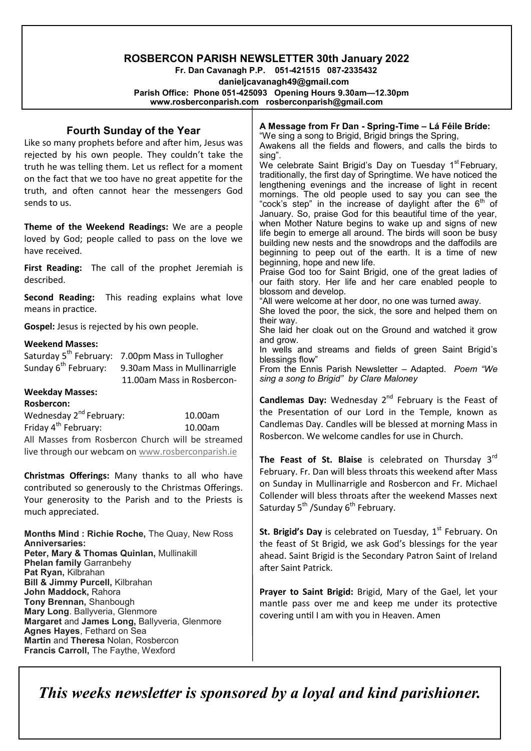# **ROSBERCON PARISH NEWSLETTER 30th January 2022**

 **Fr. Dan Cavanagh P.P. 051-421515 087-2335432 danieljcavanagh49@gmail.com Parish Office: Phone 051-425093****Opening Hours 9.30am—12.30pm www.rosberconparish.com rosberconparish@gmail.com**

#### **A Message from Fr Dan - Spring-Time – Lá Féile Bríde:**  "We sing a song to Brigid, Brigid brings the Spring, Awakens all the fields and flowers, and calls the birds to sing". We celebrate Saint Brigid's Day on Tuesday 1<sup>st</sup> February, traditionally, the first day of Springtime. We have noticed the lengthening evenings and the increase of light in recent mornings. The old people used to say you can see the "cock's step" in the increase of daylight after the 6th of January. So, praise God for this beautiful time of the year, when Mother Nature begins to wake up and signs of new life begin to emerge all around. The birds will soon be busy building new nests and the snowdrops and the daffodils are beginning to peep out of the earth. It is a time of new beginning, hope and new life. Praise God too for Saint Brigid, one of the great ladies of our faith story. Her life and her care enabled people to blossom and develop. "All were welcome at her door, no one was turned away. She loved the poor, the sick, the sore and helped them on their way. She laid her cloak out on the Ground and watched it grow and grow. In wells and streams and fields of green Saint Brigid's blessings flow" From the Ennis Parish Newsletter – Adapted. *Poem "We sing a song to Brigid" by Clare Maloney* **Candlemas Day:** Wednesday 2nd February is the Feast of the Presentation of our Lord in the Temple, known as Candlemas Day. Candles will be blessed at morning Mass in Rosbercon. We welcome candles for use in Church. **The Feast of St. Blaise** is celebrated on Thursday 3rd February. Fr. Dan will bless throats this weekend after Mass on Sunday in Mullinarrigle and Rosbercon and Fr. Michael Collender will bless throats after the weekend Masses next Saturday  $5^{th}$  /Sunday  $6^{th}$  February. **Fourth Sunday of the Year** Like so many prophets before and after him, Jesus was rejected by his own people. They couldn't take the truth he was telling them. Let us reflect for a moment on the fact that we too have no great appetite for the truth, and often cannot hear the messengers God sends to us. **Theme of the Weekend Readings:** We are a people loved by God; people called to pass on the love we have received. First Reading: The call of the prophet Jeremiah is described. **Second Reading:** This reading explains what love means in practice. **Gospel:** Jesus is rejected by his own people. **Weekend Masses:** Saturday 5<sup>th</sup> February: 7.00pm Mass in Tullogher Sunday 6<sup>th</sup> February: 9.30am Mass in Mullinarrigle 11.00am Mass in Rosbercon-**Weekday Masses: Rosbercon:** Wednesday 2nd February: 10.00am Friday 4<sup>th</sup> February: 10.00am All Masses from Rosbercon Church will be streamed live through our webcam on [www.rosberconparish.ie](http://www.rosberconparish.ie/) **Christmas Offerings:** Many thanks to all who have contributed so generously to the Christmas Offerings. Your generosity to the Parish and to the Priests is

**Months Mind : Richie Roche,** The Quay, New Ross **Anniversaries: Peter, Mary & Thomas Quinlan,** Mullinakill **Phelan family** Garranbehy **Pat Ryan,** Kilbrahan **Bill & Jimmy Purcell,** Kilbrahan **John Maddock,** Rahora **Tony Brennan,** Shanbough **Mary Long**. Ballyveria, Glenmore **Margaret** and **James Long,** Ballyveria, Glenmore **Agnes Hayes**, Fethard on Sea **Martin** and **Theresa** Nolan, Rosbercon **Francis Carroll,** The Faythe, Wexford

much appreciated.

**St. Brigid's Day** is celebrated on Tuesday, 1<sup>st</sup> February. On the feast of St Brigid, we ask God's blessings for the year ahead. Saint Brigid is the Secondary Patron Saint of Ireland after Saint Patrick.

**Prayer to Saint Brigid:** Brigid, Mary of the Gael, let your mantle pass over me and keep me under its protective covering until I am with you in Heaven. Amen

*This weeks newsletter is sponsored by a loyal and kind parishioner.*